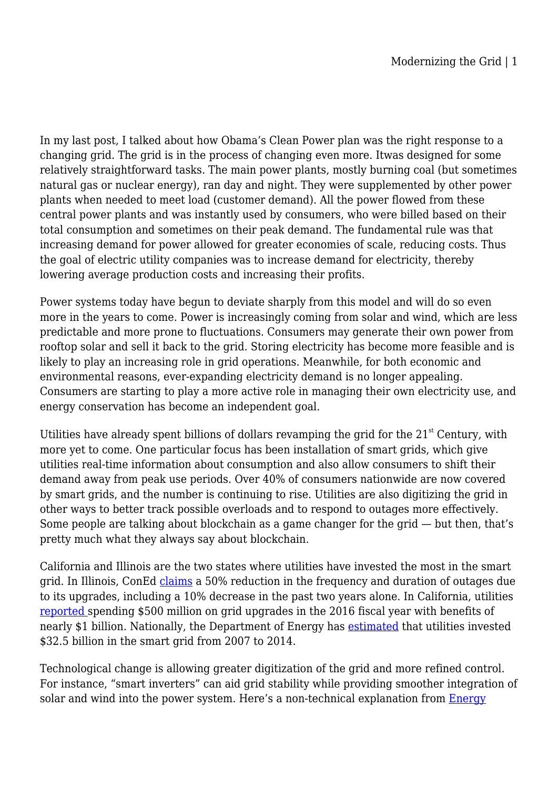In my last post, I talked about how Obama's Clean Power plan was the right response to a changing grid. The grid is in the process of changing even more. Itwas designed for some relatively straightforward tasks. The main power plants, mostly burning coal (but sometimes natural gas or nuclear energy), ran day and night. They were supplemented by other power plants when needed to meet load (customer demand). All the power flowed from these central power plants and was instantly used by consumers, who were billed based on their total consumption and sometimes on their peak demand. The fundamental rule was that increasing demand for power allowed for greater economies of scale, reducing costs. Thus the goal of electric utility companies was to increase demand for electricity, thereby lowering average production costs and increasing their profits.

Power systems today have begun to deviate sharply from this model and will do so even more in the years to come. Power is increasingly coming from solar and wind, which are less predictable and more prone to fluctuations. Consumers may generate their own power from rooftop solar and sell it back to the grid. Storing electricity has become more feasible and is likely to play an increasing role in grid operations. Meanwhile, for both economic and environmental reasons, ever-expanding electricity demand is no longer appealing. Consumers are starting to play a more active role in managing their own electricity use, and energy conservation has become an independent goal.

Utilities have already spent billions of dollars revamping the grid for the  $21<sup>st</sup>$  Century, with more yet to come. One particular focus has been installation of smart grids, which give utilities real-time information about consumption and also allow consumers to shift their demand away from peak use periods. Over 40% of consumers nationwide are now covered by smart grids, and the number is continuing to rise. Utilities are also digitizing the grid in other ways to better track possible overloads and to respond to outages more effectively. Some people are talking about blockchain as a game changer for the grid — but then, that's pretty much what they always say about blockchain.

California and Illinois are the two states where utilities have invested the most in the smart grid. In Illinois, ConEd [claims](http://www.dailyherald.com/business/20180611/comed-smart-grid-help-reduce-outages-by-10-percent) a 50% reduction in the frequency and duration of outages due to its upgrades, including a 10% decrease in the past two years alone. In California, utilities [reported s](http://www.cpuc.ca.gov/uploadedFiles/CPUC_Public_Website/Content/About_Us/Organization/Divisions/Office_of_Governmental_Affairs/Smart%20Grid%20Annual%20Report%202017.pdf)pending \$500 million on grid upgrades in the 2016 fiscal year with benefits of nearly \$1 billion. Nationally, the Department of Energy has [estimated](https://fas.org/sgp/crs/misc/R45156.pdf) that utilities invested \$32.5 billion in the smart grid from 2007 to 2014.

Technological change is allowing greater digitization of the grid and more refined control. For instance, "smart inverters" can aid grid stability while providing smoother integration of solar and wind into the power system. Here's a non-technical explanation from [Energy](https://energynews.us/2016/08/09/midwest/how-an-obscure-piece-of-technology-will-help-put-more-solar-on-the-grid/)